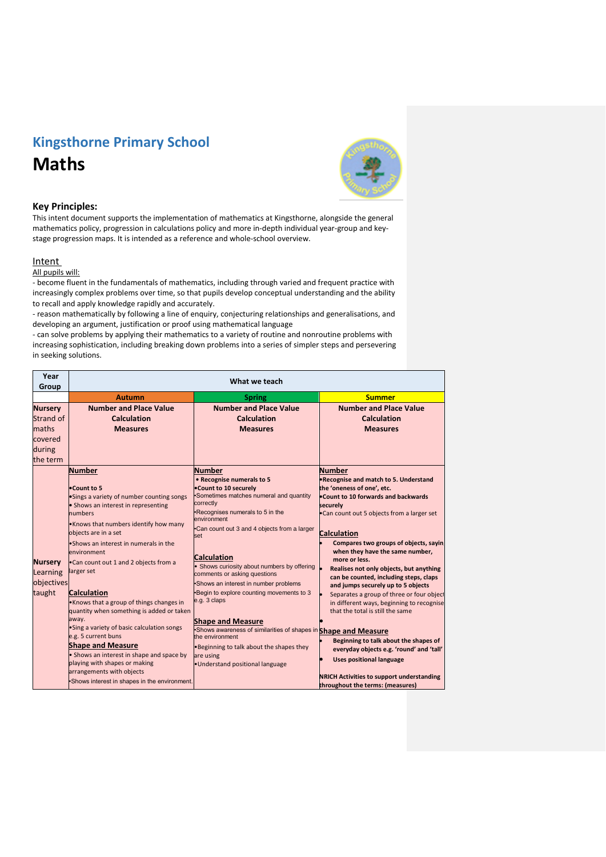## **Kingsthorne Primary School Maths**



## **Key Principles:**

This intent document supports the implementation of mathematics at Kingsthorne, alongside the general mathematics policy, progression in calculations policy and more in-depth individual year-group and keystage progression maps. It is intended as a reference and whole-school overview.

## **Intent**

All pupils will:

- become fluent in the fundamentals of mathematics, including through varied and frequent practice with increasingly complex problems over time, so that pupils develop conceptual understanding and the ability to recall and apply knowledge rapidly and accurately.

- reason mathematically by following a line of enquiry, conjecturing relationships and generalisations, and developing an argument, justification or proof using mathematical language

- can solve problems by applying their mathematics to a variety of routine and nonroutine problems with increasing sophistication, including breaking down problems into a series of simpler steps and persevering in seeking solutions.

| Year<br>Group                                                         | What we teach                                                                                                                                                                                                                                                                                                                                                                                                                                                                                                                                                                                                                                                                                      |                                                                                                                                                                                                                                                                                                                                                                                                                                                                                                                                                                                                                                                              |                                                                                                                                                                                                                                                                                                                                                                                                                                                                                                                                                                                                                                                                                                                                                                                       |  |
|-----------------------------------------------------------------------|----------------------------------------------------------------------------------------------------------------------------------------------------------------------------------------------------------------------------------------------------------------------------------------------------------------------------------------------------------------------------------------------------------------------------------------------------------------------------------------------------------------------------------------------------------------------------------------------------------------------------------------------------------------------------------------------------|--------------------------------------------------------------------------------------------------------------------------------------------------------------------------------------------------------------------------------------------------------------------------------------------------------------------------------------------------------------------------------------------------------------------------------------------------------------------------------------------------------------------------------------------------------------------------------------------------------------------------------------------------------------|---------------------------------------------------------------------------------------------------------------------------------------------------------------------------------------------------------------------------------------------------------------------------------------------------------------------------------------------------------------------------------------------------------------------------------------------------------------------------------------------------------------------------------------------------------------------------------------------------------------------------------------------------------------------------------------------------------------------------------------------------------------------------------------|--|
|                                                                       | <b>Autumn</b>                                                                                                                                                                                                                                                                                                                                                                                                                                                                                                                                                                                                                                                                                      | <b>Spring</b>                                                                                                                                                                                                                                                                                                                                                                                                                                                                                                                                                                                                                                                | <b>Summer</b>                                                                                                                                                                                                                                                                                                                                                                                                                                                                                                                                                                                                                                                                                                                                                                         |  |
| <b>Nursery</b><br>Strand of<br>maths<br>covered<br>during<br>the term | <b>Number and Place Value</b><br><b>Calculation</b><br><b>Measures</b>                                                                                                                                                                                                                                                                                                                                                                                                                                                                                                                                                                                                                             | <b>Number and Place Value</b><br><b>Calculation</b><br><b>Measures</b>                                                                                                                                                                                                                                                                                                                                                                                                                                                                                                                                                                                       | <b>Number and Place Value</b><br><b>Calculation</b><br><b>Measures</b>                                                                                                                                                                                                                                                                                                                                                                                                                                                                                                                                                                                                                                                                                                                |  |
| <b>Nursery</b><br>Learning<br>objectives<br>taught                    | <b>Number</b><br>•Count to 5<br>•Sings a variety of number counting songs<br>• Shows an interest in representing<br>numbers<br>. Knows that numbers identify how many<br>objects are in a set<br>•Shows an interest in numerals in the<br>environment<br>. Can count out 1 and 2 objects from a<br>larger set<br><b>Calculation</b><br>•Knows that a group of things changes in<br>quantity when something is added or taken<br>away.<br>• Sing a variety of basic calculation songs<br>e.g. 5 current buns<br><b>Shape and Measure</b><br>• Shows an interest in shape and space by<br>playing with shapes or making<br>arrangements with objects<br>Shows interest in shapes in the environment. | <b>Number</b><br>• Recognise numerals to 5<br>.Count to 10 securely<br>Sometimes matches numeral and quantity<br>correctly<br>•Recognises numerals to 5 in the<br>environment<br>.Can count out 3 and 4 objects from a larger<br>set<br><b>Calculation</b><br>• Shows curiosity about numbers by offering<br>comments or asking questions<br>Shows an interest in number problems<br>Begin to explore counting movements to 3<br>e.g. 3 claps<br><b>Shape and Measure</b><br>Shows awareness of similarities of shapes in Shape and Measure<br>the environment<br>. Beginning to talk about the shapes they<br>are using<br>· Understand positional language | <b>Number</b><br>. Recognise and match to 5. Understand<br>the 'oneness of one', etc.<br>. Count to 10 forwards and backwards<br>securely<br>. Can count out 5 objects from a larger set<br><b>Calculation</b><br>Compares two groups of objects, saying<br>when they have the same number,<br>more or less.<br>Realises not only objects, but anything<br>can be counted, including steps, claps<br>and jumps securely up to 5 objects<br>Separates a group of three or four object<br>in different ways, beginning to recognise<br>that the total is still the same<br>Beginning to talk about the shapes of<br>everyday objects e.g. 'round' and 'tall'<br><b>Uses positional language</b><br><b>NRICH Activities to support understanding</b><br>throughout the terms: (measures) |  |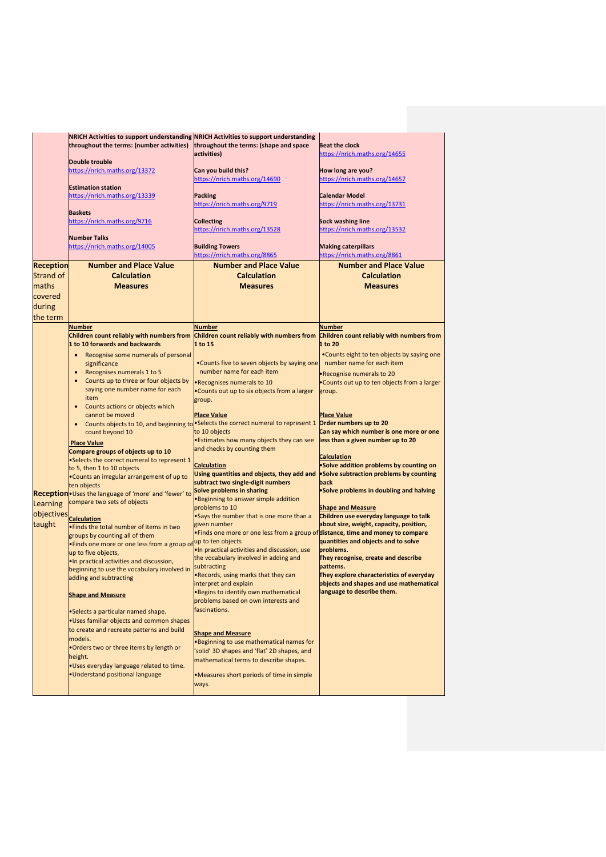|                                        | NRICH Activities to support understanding NRICH Activities to support understanding<br>throughout the terms: (number activities)                                                                                                                                                                           | throughout the terms: (shape and space<br>activities)                                                                                                                                                                                                                                                                                       | <b>Beat the clock</b><br>https://nrich.maths.org/14655                                                                                                                                                                                                                           |
|----------------------------------------|------------------------------------------------------------------------------------------------------------------------------------------------------------------------------------------------------------------------------------------------------------------------------------------------------------|---------------------------------------------------------------------------------------------------------------------------------------------------------------------------------------------------------------------------------------------------------------------------------------------------------------------------------------------|----------------------------------------------------------------------------------------------------------------------------------------------------------------------------------------------------------------------------------------------------------------------------------|
|                                        | <b>Double trouble</b><br>https://nrich.maths.org/13372                                                                                                                                                                                                                                                     | Can you build this?<br>https://nrich.maths.org/14690                                                                                                                                                                                                                                                                                        | How long are you?<br>https://nrich.maths.org/14657                                                                                                                                                                                                                               |
|                                        | <b>Estimation station</b><br>https://nrich.maths.org/13339                                                                                                                                                                                                                                                 | <b>Packing</b><br>https://nrich.maths.org/9719                                                                                                                                                                                                                                                                                              | <b>Calendar Model</b><br>https://nrich.maths.org/13731                                                                                                                                                                                                                           |
|                                        | <b>Baskets</b><br>https://nrich.maths.org/9716<br><b>Number Talks</b>                                                                                                                                                                                                                                      | <b>Collecting</b><br>https://nrich.maths.org/13528                                                                                                                                                                                                                                                                                          | Sock washing line<br>https://nrich.maths.org/13532                                                                                                                                                                                                                               |
|                                        | https://nrich.maths.org/14005                                                                                                                                                                                                                                                                              | <b>Building Towers</b><br>https://nrich.maths.org/8865                                                                                                                                                                                                                                                                                      | <b>Making caterpillars</b><br>https://nrich.maths.org/8861                                                                                                                                                                                                                       |
| <b>Reception</b>                       | <b>Number and Place Value</b>                                                                                                                                                                                                                                                                              | <b>Number and Place Value</b>                                                                                                                                                                                                                                                                                                               | <b>Number and Place Value</b>                                                                                                                                                                                                                                                    |
| Strand of                              | <b>Calculation</b>                                                                                                                                                                                                                                                                                         | <b>Calculation</b>                                                                                                                                                                                                                                                                                                                          | <b>Calculation</b>                                                                                                                                                                                                                                                               |
| maths<br>covered<br>during<br>the term | <b>Measures</b>                                                                                                                                                                                                                                                                                            | <b>Measures</b>                                                                                                                                                                                                                                                                                                                             | <b>Measures</b>                                                                                                                                                                                                                                                                  |
|                                        | <b>Number</b><br>Children count reliably with numbers from<br>1 to 10 forwards and backwards                                                                                                                                                                                                               | Number<br>Children count reliably with numbers from Children count reliably with numbers from<br>1 to 15                                                                                                                                                                                                                                    | <b>Number</b><br>1 to 20                                                                                                                                                                                                                                                         |
|                                        | Recognise some numerals of personal<br>$\bullet$<br>significance<br>Recognises numerals 1 to 5<br>$\bullet$<br>Counts up to three or four objects by<br>$\bullet$<br>saying one number name for each<br>item                                                                                               | .Counts five to seven objects by saying one<br>number name for each item<br>·Recognises numerals to 10<br>. Counts out up to six objects from a larger<br>group.                                                                                                                                                                            | •Counts eight to ten objects by saying one<br>number name for each item<br>. Recognise numerals to 20<br>• Counts out up to ten objects from a larger<br>group.                                                                                                                  |
|                                        | Counts actions or objects which<br>$\bullet$<br>cannot be moved<br>count beyond 10<br><b>Place Value</b>                                                                                                                                                                                                   | <b>Place Value</b><br>Counts objects to 10, and beginning to Selects the correct numeral to represent 1 Order numbers up to 20<br>to 10 objects<br><b>Estimates how many objects they can see</b>                                                                                                                                           | <b>Place Value</b><br>Can say which number is one more or one<br>less than a given number up to 20                                                                                                                                                                               |
|                                        | Compare groups of objects up to 10<br>•Selects the correct numeral to represent 1<br>to 5, then 1 to 10 objects<br>. Counts an irregular arrangement of up to<br>ten objects                                                                                                                               | and checks by counting them<br><b>Calculation</b><br>Using quantities and objects, they add and solve subtraction problems by counting<br>subtract two single-digit numbers<br>Solve problems in sharing                                                                                                                                    | <b>Calculation</b><br>•Solve addition problems by counting on<br>back<br>•Solve problems in doubling and halving                                                                                                                                                                 |
| Learning                               | <b>Reception</b> Uses the language of 'more' and 'fewer' to<br>compare two sets of objects                                                                                                                                                                                                                 | <b>Beginning to answer simple addition</b><br>problems to 10                                                                                                                                                                                                                                                                                | <b>Shape and Measure</b>                                                                                                                                                                                                                                                         |
| objectives calculation<br>taught       | . Finds the total number of items in two<br>groups by counting all of them<br>. Finds one more or one less from a group of<br>up to five objects,<br>. In practical activities and discussion,<br>beginning to use the vocabulary involved in<br>adding and subtracting                                    | .Says the number that is one more than a<br>given number<br>. Finds one more or one less from a group of distance, time and money to compare<br>up to ten objects<br>. In practical activities and discussion, use<br>the vocabulary involved in adding and<br>subtracting<br>. Records, using marks that they can<br>interpret and explain | Children use everyday language to talk<br>about size, weight, capacity, position,<br>quantities and objects and to solve<br>problems.<br>They recognise, create and describe<br>patterns.<br>They explore characteristics of everyday<br>objects and shapes and use mathematical |
|                                        | <b>Shape and Measure</b><br>•Selects a particular named shape.<br>. Uses familiar objects and common shapes<br>to create and recreate patterns and build<br>models.<br>.Orders two or three items by length or<br>height.<br>. Uses everyday language related to time.<br>· Understand positional language | . Begins to identify own mathematical<br>problems based on own interests and<br>fascinations.<br><b>Shape and Measure</b><br><b>Beginning to use mathematical names for</b><br>solid' 3D shapes and 'flat' 2D shapes, and<br>mathematical terms to describe shapes.<br>•Measures short periods of time in simple<br>ways.                   | language to describe them.                                                                                                                                                                                                                                                       |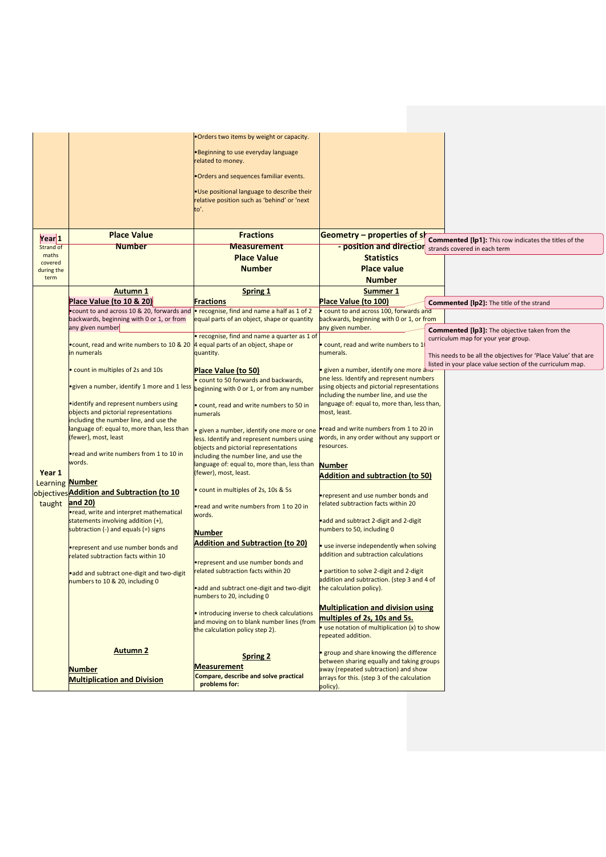|                        |                                                                                       | . Orders two items by weight or capacity.                                                          |                                                                                        |                                                                |
|------------------------|---------------------------------------------------------------------------------------|----------------------------------------------------------------------------------------------------|----------------------------------------------------------------------------------------|----------------------------------------------------------------|
|                        |                                                                                       | •Beginning to use everyday language<br>related to money.                                           |                                                                                        |                                                                |
|                        |                                                                                       | . Orders and sequences familiar events.                                                            |                                                                                        |                                                                |
|                        |                                                                                       | . Use positional language to describe their<br>relative position such as 'behind' or 'next<br>to'. |                                                                                        |                                                                |
|                        |                                                                                       |                                                                                                    |                                                                                        |                                                                |
|                        | <b>Place Value</b>                                                                    | <b>Fractions</b>                                                                                   | <b>Geometry - properties of sh</b>                                                     |                                                                |
| Year 1                 |                                                                                       |                                                                                                    |                                                                                        | <b>Commented [lp1]:</b> This row indicates the titles of the   |
| Strand of<br>maths     | <b>Number</b>                                                                         | <b>Measurement</b>                                                                                 | - position and direction strands covered in each term                                  |                                                                |
| covered                |                                                                                       | <b>Place Value</b>                                                                                 | <b>Statistics</b>                                                                      |                                                                |
| during the             |                                                                                       | <b>Number</b>                                                                                      | <b>Place value</b>                                                                     |                                                                |
| term                   |                                                                                       |                                                                                                    | <b>Number</b>                                                                          |                                                                |
|                        | <b>Autumn 1</b>                                                                       | <b>Spring 1</b>                                                                                    | Summer 1                                                                               |                                                                |
|                        | Place Value (to 10 & 20)                                                              | <b>Fractions</b>                                                                                   | <b>Place Value (to 100)</b>                                                            | <b>Commented [lp2]:</b> The title of the strand                |
|                        | . count to and across 10 & 20, forwards and                                           | . recognise, find and name a half as 1 of 2                                                        | . count to and across 100, forwards and                                                |                                                                |
|                        | backwards, beginning with 0 or 1, or from<br>any given number                         | equal parts of an object, shape or quantity                                                        | backwards, beginning with 0 or 1, or from<br>any given number.                         |                                                                |
|                        |                                                                                       | • recognise, find and name a quarter as 1 of                                                       |                                                                                        | <b>Commented [lp3]:</b> The objective taken from the           |
|                        | • count, read and write numbers to 10 & 20 4 equal parts of an object, shape or       |                                                                                                    | . count, read and write numbers to 1                                                   | curriculum map for your year group.                            |
|                        | in numerals                                                                           | quantity.                                                                                          | numerals.                                                                              | This needs to be all the objectives for 'Place Value' that are |
|                        |                                                                                       |                                                                                                    |                                                                                        | listed in your place value section of the curriculum map.      |
|                        | count in multiples of 2s and 10s                                                      | Place Value (to 50)                                                                                | given a number, identify one more and<br>one less. Identify and represent numbers      |                                                                |
|                        | •given a number, identify 1 more and 1 less beginning with 0 or 1, or from any number | . count to 50 forwards and backwards,                                                              | using objects and pictorial representations<br>including the number line, and use the  |                                                                |
|                        | • identify and represent numbers using                                                | . count, read and write numbers to 50 in                                                           | language of: equal to, more than, less than,                                           |                                                                |
|                        | objects and pictorial representations<br>including the number line, and use the       | numerals                                                                                           | most, least.                                                                           |                                                                |
|                        | language of: equal to, more than, less than                                           | given a number, identify one more or one                                                           | .read and write numbers from 1 to 20 in                                                |                                                                |
|                        | (fewer), most, least                                                                  | less. Identify and represent numbers using                                                         | words, in any order without any support or                                             |                                                                |
|                        | •read and write numbers from 1 to 10 in                                               | objects and pictorial representations                                                              | resources.                                                                             |                                                                |
|                        | words.                                                                                | including the number line, and use the<br>language of: equal to, more than, less than              | <b>Number</b>                                                                          |                                                                |
| Year 1                 |                                                                                       | (fewer), most, least.                                                                              | <b>Addition and subtraction (to 50)</b>                                                |                                                                |
| <b>Learning Number</b> |                                                                                       |                                                                                                    |                                                                                        |                                                                |
|                        | objectives Addition and Subtraction (to 10                                            | • count in multiples of 2s, 10s & 5s                                                               | <b>•represent and use number bonds and</b>                                             |                                                                |
| taught and 20)         |                                                                                       | .read and write numbers from 1 to 20 in                                                            | related subtraction facts within 20                                                    |                                                                |
|                        | read, write and interpret mathematical                                                | words.                                                                                             |                                                                                        |                                                                |
|                        | statements involving addition (+),                                                    |                                                                                                    | •add and subtract 2-digit and 2-digit                                                  |                                                                |
|                        | subtraction $(-)$ and equals $(=)$ signs                                              | Number                                                                                             | numbers to 50, including 0                                                             |                                                                |
|                        | •represent and use number bonds and                                                   | <b>Addition and Subtraction (to 20)</b>                                                            | · use inverse independently when solving                                               |                                                                |
|                        | related subtraction facts within 10                                                   |                                                                                                    | addition and subtraction calculations                                                  |                                                                |
|                        |                                                                                       | •represent and use number bonds and                                                                |                                                                                        |                                                                |
|                        | • add and subtract one-digit and two-digit                                            | related subtraction facts within 20                                                                | • partition to solve 2-digit and 2-digit<br>addition and subtraction. (step 3 and 4 of |                                                                |
|                        | numbers to 10 & 20, including 0                                                       | • add and subtract one-digit and two-digit                                                         | the calculation policy).                                                               |                                                                |
|                        |                                                                                       | numbers to 20, including 0                                                                         |                                                                                        |                                                                |
|                        |                                                                                       |                                                                                                    | <b>Multiplication and division using</b>                                               |                                                                |
|                        |                                                                                       | · introducing inverse to check calculations<br>and moving on to blank number lines (from           | multiples of 2s, 10s and 5s.                                                           |                                                                |
|                        |                                                                                       | the calculation policy step 2).                                                                    | · use notation of multiplication (x) to show                                           |                                                                |
|                        |                                                                                       |                                                                                                    | epeated addition.                                                                      |                                                                |
|                        | <b>Autumn 2</b>                                                                       |                                                                                                    | • group and share knowing the difference                                               |                                                                |
|                        |                                                                                       | <b>Spring 2</b>                                                                                    | between sharing equally and taking groups                                              |                                                                |
|                        | <b>Number</b>                                                                         | <b>Measurement</b>                                                                                 | away (repeated subtraction) and show                                                   |                                                                |
|                        | <b>Multiplication and Division</b>                                                    | Compare, describe and solve practical                                                              | arrays for this. (step 3 of the calculation                                            |                                                                |
|                        |                                                                                       | problems for:                                                                                      | policy).                                                                               |                                                                |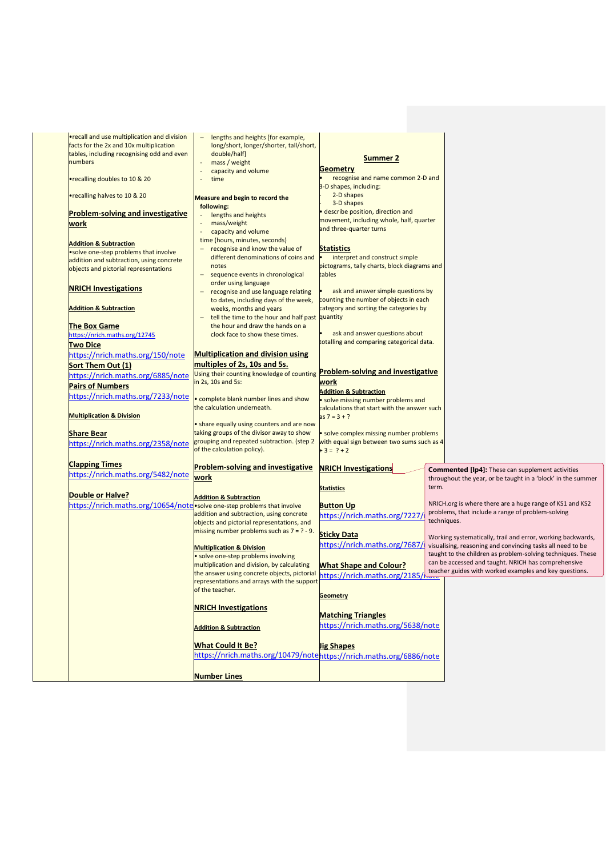| <b>•recall and use multiplication and division</b>                      | lengths and heights [for example,<br>$\qquad \qquad -$                                      |                                                                              |       |                                                                  |
|-------------------------------------------------------------------------|---------------------------------------------------------------------------------------------|------------------------------------------------------------------------------|-------|------------------------------------------------------------------|
| facts for the 2x and 10x multiplication                                 | long/short, longer/shorter, tall/short,                                                     |                                                                              |       |                                                                  |
| tables, including recognising odd and even                              | double/half]                                                                                |                                                                              |       |                                                                  |
| numbers                                                                 | mass / weight<br>$\overline{\phantom{a}}$                                                   | <b>Summer 2</b>                                                              |       |                                                                  |
|                                                                         | capacity and volume                                                                         | Geometry                                                                     |       |                                                                  |
| •recalling doubles to 10 & 20                                           | time                                                                                        | recognise and name common 2-D and                                            |       |                                                                  |
|                                                                         |                                                                                             | 3-D shapes, including:                                                       |       |                                                                  |
| •recalling halves to 10 & 20                                            | Measure and begin to record the                                                             | 2-D shapes                                                                   |       |                                                                  |
|                                                                         | following:                                                                                  | 3-D shapes                                                                   |       |                                                                  |
| <b>Problem-solving and investigative</b>                                | lengths and heights                                                                         | describe position, direction and                                             |       |                                                                  |
| work                                                                    | mass/weight                                                                                 | movement, including whole, half, quarter<br>and three-quarter turns          |       |                                                                  |
|                                                                         | capacity and volume<br>$\blacksquare$                                                       |                                                                              |       |                                                                  |
| <b>Addition &amp; Subtraction</b>                                       | time (hours, minutes, seconds)                                                              |                                                                              |       |                                                                  |
| .solve one-step problems that involve                                   | recognise and know the value of                                                             | <b>Statistics</b>                                                            |       |                                                                  |
| addition and subtraction, using concrete                                | different denominations of coins and                                                        | interpret and construct simple                                               |       |                                                                  |
| objects and pictorial representations                                   | notes                                                                                       | pictograms, tally charts, block diagrams and                                 |       |                                                                  |
|                                                                         | sequence events in chronological<br>$\overline{\phantom{0}}$                                | tables                                                                       |       |                                                                  |
| <b>NRICH Investigations</b>                                             | order using language                                                                        |                                                                              |       |                                                                  |
|                                                                         | recognise and use language relating                                                         | ask and answer simple questions by<br>counting the number of objects in each |       |                                                                  |
| <b>Addition &amp; Subtraction</b>                                       | to dates, including days of the week,<br>weeks, months and years                            | category and sorting the categories by                                       |       |                                                                  |
|                                                                         | tell the time to the hour and half past quantity                                            |                                                                              |       |                                                                  |
| The Box Game                                                            | the hour and draw the hands on a                                                            |                                                                              |       |                                                                  |
| https://nrich.maths.org/12745                                           | clock face to show these times.                                                             | ask and answer questions about                                               |       |                                                                  |
|                                                                         |                                                                                             | totalling and comparing categorical data.                                    |       |                                                                  |
| <b>Two Dice</b>                                                         |                                                                                             |                                                                              |       |                                                                  |
| https://nrich.maths.org/150/note                                        | <b>Multiplication and division using</b>                                                    |                                                                              |       |                                                                  |
| Sort Them Out (1)                                                       | multiples of 2s, 10s and 5s.                                                                |                                                                              |       |                                                                  |
| https://nrich.maths.org/6885/note                                       | Using their counting knowledge of counting <b>Problem-solving and investigative</b>         |                                                                              |       |                                                                  |
| <b>Pairs of Numbers</b>                                                 | in 2s, 10s and 5s:                                                                          | work                                                                         |       |                                                                  |
| https://nrich.maths.org/7233/note                                       | . complete blank number lines and show                                                      | <b>Addition &amp; Subtraction</b>                                            |       |                                                                  |
|                                                                         | the calculation underneath.                                                                 | solve missing number problems and                                            |       |                                                                  |
| <b>Multiplication &amp; Division</b>                                    |                                                                                             | calculations that start with the answer such<br>$as 7 = 3 + ?$               |       |                                                                  |
|                                                                         | • share equally using counters and are now                                                  |                                                                              |       |                                                                  |
| Share Bear                                                              | taking groups of the divisor away to show                                                   | · solve complex missing number problems                                      |       |                                                                  |
|                                                                         | grouping and repeated subtraction. (step 2                                                  | with equal sign between two sums such as 4                                   |       |                                                                  |
| https://nrich.maths.org/2358/note                                       | of the calculation policy).                                                                 | $+3 = ? + 2$                                                                 |       |                                                                  |
| <b>Clapping Times</b>                                                   | <b>Problem-solving and investigative</b>                                                    | <b>NRICH Investigations</b>                                                  |       |                                                                  |
| https://nrich.maths.org/5482/note                                       |                                                                                             |                                                                              |       | <b>Commented [lp4]:</b> These can supplement activities          |
|                                                                         | work                                                                                        |                                                                              |       | throughout the year, or be taught in a 'block' in the summer     |
|                                                                         |                                                                                             | <b>Statistics</b>                                                            | term. |                                                                  |
| <b>Double or Halve?</b>                                                 | <b>Addition &amp; Subtraction</b>                                                           |                                                                              |       |                                                                  |
| https://nrich.maths.org/10654/note solve one-step problems that involve |                                                                                             | <b>Button Up</b>                                                             |       | NRICH.org is where there are a huge range of KS1 and KS2         |
|                                                                         | addition and subtraction, using concrete                                                    | https://nrich.maths.org/7227                                                 |       | problems, that include a range of problem-solving<br>techniques. |
|                                                                         | objects and pictorial representations, and                                                  |                                                                              |       |                                                                  |
|                                                                         | missing number problems such as $7 = ? - 9$ .                                               | <b>Sticky Data</b>                                                           |       | Working systematically, trail and error, working backwards,      |
|                                                                         |                                                                                             | nttps://nrich.maths.org/7687/                                                |       | visualising, reasoning and convincing tasks all need to be       |
|                                                                         | <b>Multiplication &amp; Division</b><br>· solve one-step problems involving                 |                                                                              |       | taught to the children as problem-solving techniques. These      |
|                                                                         |                                                                                             |                                                                              |       | can be accessed and taught. NRICH has comprehensive              |
|                                                                         | multiplication and division, by calculating<br>the answer using concrete objects, pictorial | <b>What Shape and Colour?</b>                                                |       | teacher guides with worked examples and key questions.           |
|                                                                         | representations and arrays with the support                                                 | https://nrich.maths.org/2185/                                                |       |                                                                  |
|                                                                         | of the teacher.                                                                             |                                                                              |       |                                                                  |
|                                                                         |                                                                                             | <b>Geometry</b>                                                              |       |                                                                  |
|                                                                         | <b>NRICH Investigations</b>                                                                 |                                                                              |       |                                                                  |
|                                                                         |                                                                                             | <b>Matching Triangles</b>                                                    |       |                                                                  |
|                                                                         |                                                                                             | https://nrich.maths.org/5638/note                                            |       |                                                                  |
|                                                                         | <b>Addition &amp; Subtraction</b>                                                           |                                                                              |       |                                                                  |
|                                                                         | <b>What Could It Be?</b>                                                                    | <b>Jig Shapes</b>                                                            |       |                                                                  |
|                                                                         | https://nrich.maths.org/10479/notehttps://nrich.maths.org/6886/note                         |                                                                              |       |                                                                  |
|                                                                         |                                                                                             |                                                                              |       |                                                                  |
|                                                                         | <b>Number Lines</b>                                                                         |                                                                              |       |                                                                  |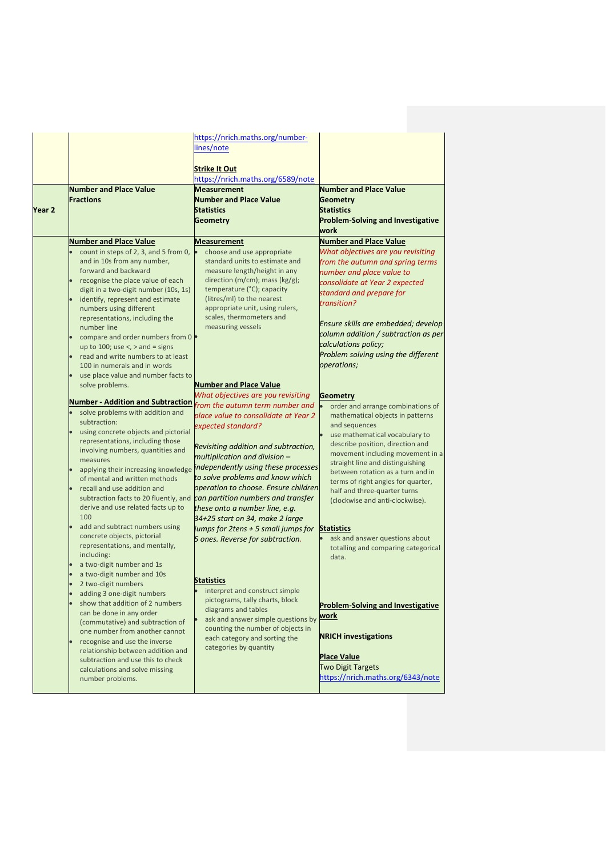|        |                                                                      | https://nrich.maths.org/number-<br>lines/note                           |                                                                        |
|--------|----------------------------------------------------------------------|-------------------------------------------------------------------------|------------------------------------------------------------------------|
|        |                                                                      | <b>Strike It Out</b><br>https://nrich.maths.org/6589/note               |                                                                        |
|        | <b>Number and Place Value</b>                                        | <b>Measurement</b>                                                      | <b>Number and Place Value</b>                                          |
|        | <b>Fractions</b>                                                     | <b>Number and Place Value</b>                                           | <b>Geometry</b>                                                        |
| Year 2 |                                                                      | <b>Statistics</b>                                                       | <b>Statistics</b>                                                      |
|        |                                                                      | <b>Geometry</b>                                                         | <b>Problem-Solving and Investigative</b>                               |
|        |                                                                      |                                                                         | work                                                                   |
|        | <b>Number and Place Value</b>                                        | <b>Measurement</b>                                                      | <b>Number and Place Value</b>                                          |
|        | count in steps of 2, 3, and 5 from 0,<br>and in 10s from any number, | choose and use appropriate<br>standard units to estimate and            | What objectives are you revisiting<br>from the autumn and spring terms |
|        | forward and backward                                                 | measure length/height in any                                            | number and place value to                                              |
|        | recognise the place value of each                                    | direction ( $m/cm$ ); mass ( $kg/g$ );                                  | consolidate at Year 2 expected                                         |
|        | digit in a two-digit number (10s, 1s)                                | temperature (°C); capacity                                              | standard and prepare for                                               |
|        | identify, represent and estimate                                     | (litres/ml) to the nearest                                              | transition?                                                            |
|        | numbers using different<br>representations, including the            | appropriate unit, using rulers,<br>scales, thermometers and             |                                                                        |
|        | number line                                                          | measuring vessels                                                       | Ensure skills are embedded; develop                                    |
|        | compare and order numbers from 0 .                                   |                                                                         | column addition / subtraction as per                                   |
|        | up to 100; use $\lt$ , $>$ and = signs                               |                                                                         | calculations policy;                                                   |
|        | read and write numbers to at least                                   |                                                                         | Problem solving using the different                                    |
|        | 100 in numerals and in words                                         |                                                                         | operations;                                                            |
|        | use place value and number facts to<br>solve problems.               | <b>Number and Place Value</b>                                           |                                                                        |
|        |                                                                      | What objectives are you revisiting                                      | <b>Geometry</b>                                                        |
|        | <b>Number - Addition and Subtraction</b>                             | from the autumn term number and                                         | order and arrange combinations of                                      |
|        | solve problems with addition and                                     | place value to consolidate at Year 2                                    | mathematical objects in patterns                                       |
|        | subtraction:<br>using concrete objects and pictorial                 | expected standard?                                                      | and sequences                                                          |
|        | representations, including those                                     |                                                                         | use mathematical vocabulary to<br>describe position, direction and     |
|        | involving numbers, quantities and                                    | Revisiting addition and subtraction,                                    | movement including movement in a                                       |
|        | measures                                                             | multiplication and division -                                           | straight line and distinguishing                                       |
|        | applying their increasing knowledge                                  | independently using these processes<br>to solve problems and know which | between rotation as a turn and in                                      |
|        | of mental and written methods<br>recall and use addition and         | operation to choose. Ensure children                                    | terms of right angles for quarter,                                     |
|        | subtraction facts to 20 fluently, and                                | can partition numbers and transfer                                      | half and three-quarter turns<br>(clockwise and anti-clockwise).        |
|        | derive and use related facts up to                                   | these onto a number line, e.g.                                          |                                                                        |
|        | 100                                                                  | 34+25 start on 34, make 2 large                                         |                                                                        |
|        | add and subtract numbers using<br>concrete objects, pictorial        | jumps for 2tens + 5 small jumps for                                     | <b>Statistics</b>                                                      |
|        | representations, and mentally,                                       | 5 ones. Reverse for subtraction.                                        | ask and answer questions about<br>totalling and comparing categorical  |
|        | including:                                                           |                                                                         | data.                                                                  |
|        | a two-digit number and 1s                                            |                                                                         |                                                                        |
|        | a two-digit number and 10s                                           | <b>Statistics</b>                                                       |                                                                        |
|        | 2 two-digit numbers                                                  | interpret and construct simple                                          |                                                                        |
|        | adding 3 one-digit numbers<br>show that addition of 2 numbers        | pictograms, tally charts, block                                         |                                                                        |
|        | can be done in any order                                             | diagrams and tables                                                     | <b>Problem-Solving and Investigative</b><br><u>work</u>                |
|        | (commutative) and subtraction of                                     | ask and answer simple questions by                                      |                                                                        |
|        | one number from another cannot                                       | counting the number of objects in<br>each category and sorting the      | <b>NRICH investigations</b>                                            |
|        | recognise and use the inverse<br>relationship between addition and   | categories by quantity                                                  |                                                                        |
|        | subtraction and use this to check                                    |                                                                         | <b>Place Value</b>                                                     |
|        | calculations and solve missing                                       |                                                                         | <b>Two Digit Targets</b>                                               |
|        | number problems.                                                     |                                                                         | https://nrich.maths.org/6343/note                                      |